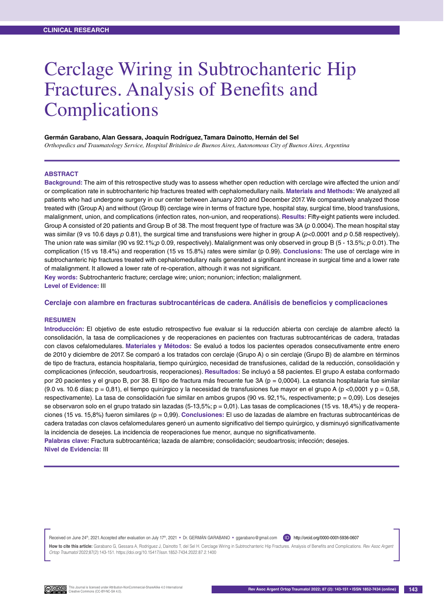# Cerclage Wiring in Subtrochanteric Hip Fractures. Analysis of Benefits and Complications

#### **Germán Garabano, Alan Gessara, Joaquín Rodríguez, Tamara Dainotto, Hernán del Sel**

*Orthopedics and Traumatology Service, Hospital Británico de Buenos Aires, Autonomous City of Buenos Aires, Argentina*

### **ABSTRACT**

**Background:** The aim of this retrospective study was to assess whether open reduction with cerclage wire affected the union and/ or complication rate in subtrochanteric hip fractures treated with cephalomedullary nails. **Materials and Methods:** We analyzed all patients who had undergone surgery in our center between January 2010 and December 2017. We comparatively analyzed those treated with (Group A) and without (Group B) cerclage wire in terms of fracture type, hospital stay, surgical time, blood transfusions, malalignment, union, and complications (infection rates, non-union, and reoperations). **Results:** Fifty-eight patients were included. Group A consisted of 20 patients and Group B of 38. The most frequent type of fracture was 3A (*p* 0.0004). The mean hospital stay was similar (9 vs 10.6 days *p* 0.81), the surgical time and transfusions were higher in group A (*p*<0.0001 and *p* 0.58 respectively). The union rate was similar (90 vs 92.1%;*p* 0.09, respectively). Malalignment was only observed in group B (5 - 13.5%; *p* 0.01). The complication (15 vs 18.4%) and reoperation (15 vs 15.8%) rates were similar (p 0.99). **Conclusions:** The use of cerclage wire in subtrochanteric hip fractures treated with cephalomedullary nails generated a significant increase in surgical time and a lower rate of malalignment. It allowed a lower rate of re-operation, although it was not significant.

**Key words:** Subtrochanteric fracture; cerclage wire; union; nonunion; infection; malalignment. **Level of Evidence:** III

#### **Cerclaje con alambre en fracturas subtrocantéricas de cadera. Análisis de beneficios y complicaciones**

#### **Resumen**

**Introducción:** El objetivo de este estudio retrospectivo fue evaluar si la reducción abierta con cerclaje de alambre afectó la consolidación, la tasa de complicaciones y de reoperaciones en pacientes con fracturas subtrocantéricas de cadera, tratadas con clavos cefalomedulares. **Materiales y Métodos:** Se evaluó a todos los pacientes operados consecutivamente entre enero de 2010 y diciembre de 2017. Se comparó a los tratados con cerclaje (Grupo A) o sin cerclaje (Grupo B) de alambre en términos de tipo de fractura, estancia hospitalaria, tiempo quirúrgico, necesidad de transfusiones, calidad de la reducción, consolidación y complicaciones (infección, seudoartrosis, reoperaciones). **Resultados:** Se incluyó a 58 pacientes. El grupo A estaba conformado por 20 pacientes y el grupo B, por 38. El tipo de fractura más frecuente fue 3A (p = 0,0004). La estancia hospitalaria fue similar (9.0 vs. 10.6 días;  $p = 0.81$ ), el tiempo quirúrgico y la necesidad de transfusiones fue mayor en el grupo A (p <0,0001 y p = 0,58, respectivamente). La tasa de consolidación fue similar en ambos grupos (90 vs. 92,1%, respectivamente; p = 0,09). Los desejes se observaron solo en el grupo tratado sin lazadas (5-13,5%;  $p = 0.01$ ). Las tasas de complicaciones (15 vs. 18,4%) y de reoperaciones (15 vs. 15,8%) fueron similares (p = 0,99). **Conclusiones:** El uso de lazadas de alambre en fracturas subtrocantéricas de cadera tratadas con clavos cefalomedulares generó un aumento significativo del tiempo quirúrgico, y disminuyó significativamente la incidencia de desejes. La incidencia de reoperaciones fue menor, aunque no significativamente.

**Palabras clave:** Fractura subtrocantérica; lazada de alambre; consolidación; seudoartrosis; infección; desejes. **Nivel de Evidencia:** III

Received on June 24<sup>th</sup>, 2021. Accepted after evaluation on July 17<sup>th</sup>, 2021 • Dr. GERMAN GARABANO • ggarabano@gmail.com (D) http://orcid.org/0000-0001-5936-0607

**How to cite this article:** Garabano G, Gessara A, Rodríguez J, Dainotto T, del Sel H. Cerclage Wiring in Subtrochanteric Hip Fractures. Analysis of Benefits and Complications. *Rev Asoc Argent Ortop Traumatol* 2022;87(2):143-151. https://doi.org/10.15417/issn.1852-7434.2022.87.2.1400

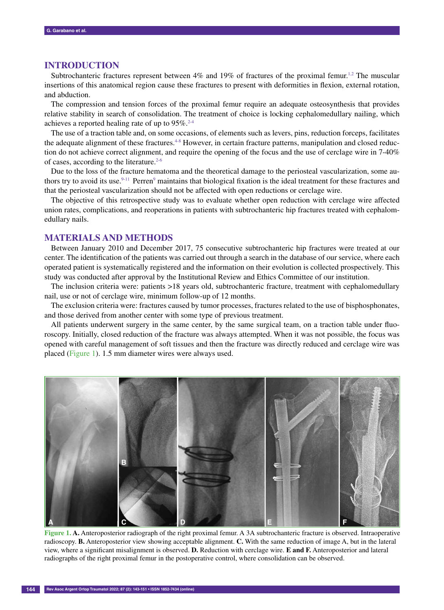# **INTRODUCTION**

Subtrochanteric fractures represent between  $4\%$  and  $19\%$  of fractures of the proximal femur.<sup>1,2</sup> The muscular insertions of this anatomical region cause these fractures to present with deformities in flexion, external rotation, and abduction.

The compression and tension forces of the proximal femur require an adequate osteosynthesis that provides relative stability in search of consolidation. The treatment of choice is locking cephalomedullary nailing, which achieves a reported healing rate of up to  $95\%$ <sup>2-4</sup>

The use of a traction table and, on some occasions, of elements such as levers, pins, reduction forceps, facilitates the adequate alignment of these fractures.<sup>4-8</sup> However, in certain fracture patterns, manipulation and closed reduction do not achieve correct alignment, and require the opening of the focus and the use of cerclage wire in 7-40% of cases, according to the literature. $2-6$ 

Due to the loss of the fracture hematoma and the theoretical damage to the periosteal vascularization, some authors try to avoid its use.<sup>9-11</sup> Perren<sup>9</sup> maintains that biological fixation is the ideal treatment for these fractures and that the periosteal vascularization should not be affected with open reductions or cerclage wire.

The objective of this retrospective study was to evaluate whether open reduction with cerclage wire affected union rates, complications, and reoperations in patients with subtrochanteric hip fractures treated with cephalomedullary nails.

## **MATERIALS AND METHODS**

Between January 2010 and December 2017, 75 consecutive subtrochanteric hip fractures were treated at our center. The identification of the patients was carried out through a search in the database of our service, where each operated patient is systematically registered and the information on their evolution is collected prospectively. This study was conducted after approval by the Institutional Review and Ethics Committee of our institution.

The inclusion criteria were: patients >18 years old, subtrochanteric fracture, treatment with cephalomedullary nail, use or not of cerclage wire, minimum follow-up of 12 months.

The exclusion criteria were: fractures caused by tumor processes, fractures related to the use of bisphosphonates, and those derived from another center with some type of previous treatment.

All patients underwent surgery in the same center, by the same surgical team, on a traction table under fluoroscopy. Initially, closed reduction of the fracture was always attempted. When it was not possible, the focus was opened with careful management of soft tissues and then the fracture was directly reduced and cerclage wire was placed (Figure 1). 1.5 mm diameter wires were always used.



**Figure 1. A.** Anteroposterior radiograph of the right proximal femur. A 3A subtrochanteric fracture is observed. Intraoperative radioscopy. **B.** Anteroposterior view showing acceptable alignment. **C.** With the same reduction of image A, but in the lateral view, where a significant misalignment is observed. **D.** Reduction with cerclage wire. **E and F.** Anteroposterior and lateral radiographs of the right proximal femur in the postoperative control, where consolidation can be observed.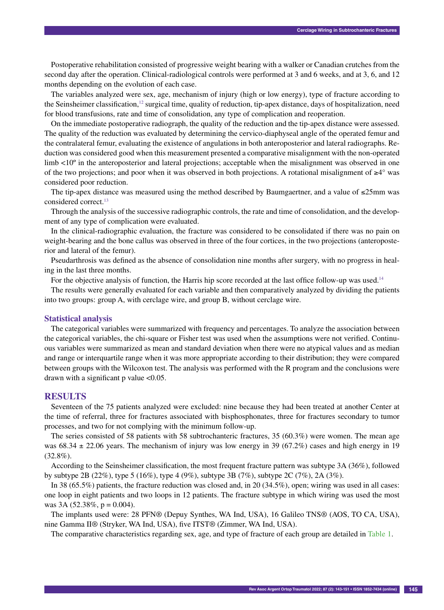Postoperative rehabilitation consisted of progressive weight bearing with a walker or Canadian crutches from the second day after the operation. Clinical-radiological controls were performed at 3 and 6 weeks, and at 3, 6, and 12 months depending on the evolution of each case.

The variables analyzed were sex, age, mechanism of injury (high or low energy), type of fracture according to the Seinsheimer classification, $12$  surgical time, quality of reduction, tip-apex distance, days of hospitalization, need for blood transfusions, rate and time of consolidation, any type of complication and reoperation.

On the immediate postoperative radiograph, the quality of the reduction and the tip-apex distance were assessed. The quality of the reduction was evaluated by determining the cervico-diaphyseal angle of the operated femur and the contralateral femur, evaluating the existence of angulations in both anteroposterior and lateral radiographs. Reduction was considered good when this measurement presented a comparative misalignment with the non-operated limb <10<sup>°</sup> in the anteroposterior and lateral projections; acceptable when the misalignment was observed in one of the two projections; and poor when it was observed in both projections. A rotational misalignment of ≥4° was considered poor reduction.

The tip-apex distance was measured using the method described by Baumgaertner, and a value of ≤25mm was considered correct.<sup>13</sup>

Through the analysis of the successive radiographic controls, the rate and time of consolidation, and the development of any type of complication were evaluated.

In the clinical-radiographic evaluation, the fracture was considered to be consolidated if there was no pain on weight-bearing and the bone callus was observed in three of the four cortices, in the two projections (anteroposterior and lateral of the femur).

Pseudarthrosis was defined as the absence of consolidation nine months after surgery, with no progress in healing in the last three months.

For the objective analysis of function, the Harris hip score recorded at the last office follow-up was used.<sup>14</sup>

The results were generally evaluated for each variable and then comparatively analyzed by dividing the patients into two groups: group A, with cerclage wire, and group B, without cerclage wire.

#### **Statistical analysis**

The categorical variables were summarized with frequency and percentages. To analyze the association between the categorical variables, the chi-square or Fisher test was used when the assumptions were not verified. Continuous variables were summarized as mean and standard deviation when there were no atypical values and as median and range or interquartile range when it was more appropriate according to their distribution; they were compared between groups with the Wilcoxon test. The analysis was performed with the R program and the conclusions were drawn with a significant p value <0.05.

# **RESULTS**

Seventeen of the 75 patients analyzed were excluded: nine because they had been treated at another Center at the time of referral, three for fractures associated with bisphosphonates, three for fractures secondary to tumor processes, and two for not complying with the minimum follow-up.

The series consisted of 58 patients with 58 subtrochanteric fractures, 35 (60.3%) were women. The mean age was  $68.34 \pm 22.06$  years. The mechanism of injury was low energy in 39 (67.2%) cases and high energy in 19 (32.8%).

According to the Seinsheimer classification, the most frequent fracture pattern was subtype 3A (36%), followed by subtype 2B (22%), type 5 (16%), type 4 (9%), subtype 3B (7%), subtype 2C (7%), 2A (3%).

In 38 (65.5%) patients, the fracture reduction was closed and, in 20 (34.5%), open; wiring was used in all cases: one loop in eight patients and two loops in 12 patients. The fracture subtype in which wiring was used the most was 3A  $(52.38\%, p = 0.004)$ .

The implants used were: 28 PFN® (Depuy Synthes, WA Ind, USA), 16 Galileo TNS® (AOS, TO CA, USA), nine Gamma II® (Stryker, WA Ind, USA), five ITST® (Zimmer, WA Ind, USA).

The comparative characteristics regarding sex, age, and type of fracture of each group are detailed in Table 1.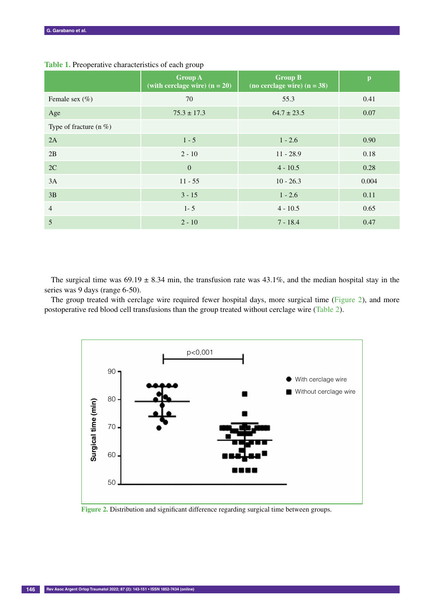|                           | <b>Group A</b><br>(with cerclage wire) $(n = 20)$ | <b>Group B</b><br>(no cerclage wire) $(n = 38)$ | $\mathbf{p}$ |
|---------------------------|---------------------------------------------------|-------------------------------------------------|--------------|
| Female sex $(\%)$         | 70                                                | 55.3                                            | 0.41         |
| Age                       | $75.3 \pm 17.3$                                   | $64.7 \pm 23.5$                                 | 0.07         |
| Type of fracture (n $%$ ) |                                                   |                                                 |              |
| 2A                        | $1 - 5$                                           | $1 - 2.6$                                       | 0.90         |
| 2B                        | $2 - 10$                                          | $11 - 28.9$                                     | 0.18         |
| 2C                        | $\mathbf{0}$                                      | $4 - 10.5$                                      | 0.28         |
| 3A                        | $11 - 55$                                         | $10 - 26.3$                                     | 0.004        |
| 3B                        | $3 - 15$                                          | $1 - 2.6$                                       | 0.11         |
| $\overline{4}$            | $1 - 5$                                           | $4 - 10.5$                                      | 0.65         |
| 5                         | $2 - 10$                                          | $7 - 18.4$                                      | 0.47         |

## **Table 1.** Preoperative characteristics of each group

The surgical time was  $69.19 \pm 8.34$  min, the transfusion rate was  $43.1\%$ , and the median hospital stay in the series was 9 days (range 6-50).

The group treated with cerclage wire required fewer hospital days, more surgical time (Figure 2), and more postoperative red blood cell transfusions than the group treated without cerclage wire (Table 2).



**Figure 2.** Distribution and significant difference regarding surgical time between groups.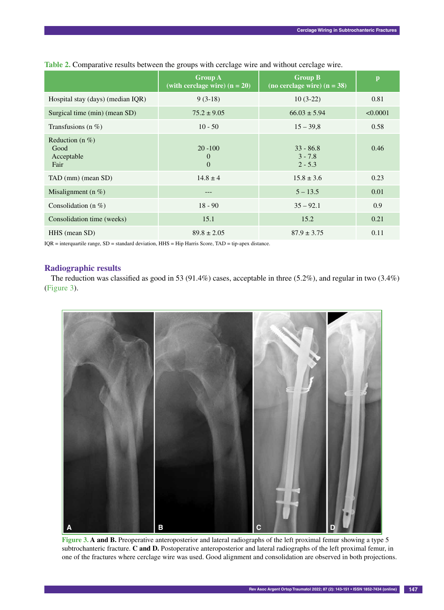|                                                  | <b>Group A</b><br>(with cerclage wire) $(n = 20)$ | <b>Group B</b><br>(no cerclage wire) $(n = 38)$ | p        |
|--------------------------------------------------|---------------------------------------------------|-------------------------------------------------|----------|
| Hospital stay (days) (median IQR)                | $9(3-18)$                                         | $10(3-22)$                                      | 0.81     |
| Surgical time (min) (mean SD)                    | $75.2 \pm 9.05$                                   | $66.03 \pm 5.94$                                | < 0.0001 |
| Transfusions (n $%$ )                            | $10 - 50$                                         | $15 - 39.8$                                     | 0.58     |
| Reduction (n $%$ )<br>Good<br>Acceptable<br>Fair | $20 - 100$<br>$\overline{0}$<br>$\theta$          | $33 - 86.8$<br>$3 - 7.8$<br>$2 - 5.3$           | 0.46     |
| TAD (mm) (mean SD)                               | $14.8 \pm 4$                                      | $15.8 \pm 3.6$                                  | 0.23     |
| Misalignment (n $%$ )                            | ---                                               | $5 - 13.5$                                      | 0.01     |
| Consolidation (n $%$ )                           | $18 - 90$                                         | $35 - 92.1$                                     | 0.9      |
| Consolidation time (weeks)                       | 15.1                                              | 15.2                                            | 0.21     |
| HHS (mean SD)                                    | $89.8 \pm 2.05$                                   | $87.9 \pm 3.75$                                 | 0.11     |

## **Table 2.** Comparative results between the groups with cerclage wire and without cerclage wire.

IQR = interquartile range, SD = standard deviation, HHS = Hip Harris Score, TAD = tip-apex distance.

# **Radiographic results**

The reduction was classified as good in 53 (91.4%) cases, acceptable in three (5.2%), and regular in two (3.4%) (Figure 3).



**Figure 3. A and B.** Preoperative anteroposterior and lateral radiographs of the left proximal femur showing a type 5 subtrochanteric fracture. **C and D.** Postoperative anteroposterior and lateral radiographs of the left proximal femur, in one of the fractures where cerclage wire was used. Good alignment and consolidation are observed in both projections.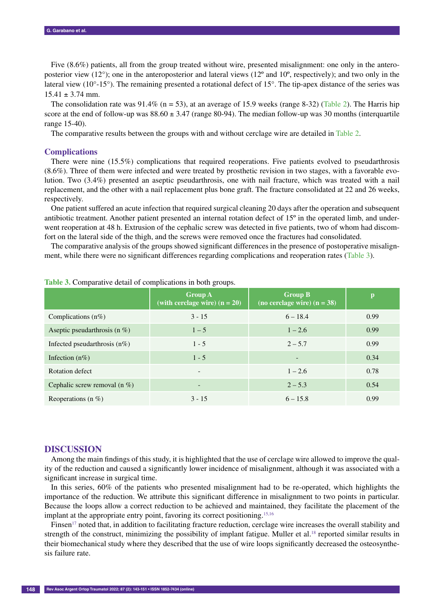Five  $(8.6%)$  patients, all from the group treated without wire, presented misalignment: one only in the anteroposterior view (12°); one in the anteroposterior and lateral views (12º and 10º, respectively); and two only in the lateral view (10°-15°). The remaining presented a rotational defect of 15°. The tip-apex distance of the series was  $15.41 \pm 3.74$  mm.

The consolidation rate was  $91.4\%$  (n = 53), at an average of 15.9 weeks (range 8-32) (Table 2). The Harris hip score at the end of follow-up was  $88.60 \pm 3.47$  (range 80-94). The median follow-up was 30 months (interquartile range 15-40).

The comparative results between the groups with and without cerclage wire are detailed in Table 2.

### **Complications**

There were nine (15.5%) complications that required reoperations. Five patients evolved to pseudarthrosis (8.6%). Three of them were infected and were treated by prosthetic revision in two stages, with a favorable evolution. Two (3.4%) presented an aseptic pseudarthrosis, one with nail fracture, which was treated with a nail replacement, and the other with a nail replacement plus bone graft. The fracture consolidated at 22 and 26 weeks, respectively.

One patient suffered an acute infection that required surgical cleaning 20 days after the operation and subsequent antibiotic treatment. Another patient presented an internal rotation defect of 15º in the operated limb, and underwent reoperation at 48 h. Extrusion of the cephalic screw was detected in five patients, two of whom had discomfort on the lateral side of the thigh, and the screws were removed once the fractures had consolidated.

The comparative analysis of the groups showed significant differences in the presence of postoperative misalignment, while there were no significant differences regarding complications and reoperation rates (Table 3).

|                                 | <b>Group A</b><br>(with cerclage wire) $(n = 20)$ | <b>Group B</b><br>(no cerclage wire) $(n = 38)$ | p    |
|---------------------------------|---------------------------------------------------|-------------------------------------------------|------|
| Complications $(n\%)$           | $3 - 15$                                          | $6 - 18.4$                                      | 0.99 |
| Aseptic pseudarthrosis (n $%$ ) | $1 - 5$                                           | $1 - 2.6$                                       | 0.99 |
| Infected pseudarthrosis $(n\%)$ | $1 - 5$                                           | $2 - 5.7$                                       | 0.99 |
| Infection $(n\%)$               | $1 - 5$                                           | $\overline{\phantom{0}}$                        | 0.34 |
| Rotation defect                 | $\overline{\phantom{a}}$                          | $1 - 2.6$                                       | 0.78 |
| Cephalic screw removal (n $%$ ) | $\overline{\phantom{0}}$                          | $2 - 5.3$                                       | 0.54 |
| Reoperations (n $%$ )           | $3 - 15$                                          | $6 - 15.8$                                      | 0.99 |

**Table 3.** Comparative detail of complications in both groups.

### **DISCUSSION**

Among the main findings of this study, it is highlighted that the use of cerclage wire allowed to improve the quality of the reduction and caused a significantly lower incidence of misalignment, although it was associated with a significant increase in surgical time.

In this series, 60% of the patients who presented misalignment had to be re-operated, which highlights the importance of the reduction. We attribute this significant difference in misalignment to two points in particular. Because the loops allow a correct reduction to be achieved and maintained, they facilitate the placement of the implant at the appropriate entry point, favoring its correct positioning.<sup>15,16</sup>

Finsen<sup>17</sup> noted that, in addition to facilitating fracture reduction, cerclage wire increases the overall stability and strength of the construct, minimizing the possibility of implant fatigue. Muller et al.<sup>18</sup> reported similar results in their biomechanical study where they described that the use of wire loops significantly decreased the osteosynthesis failure rate.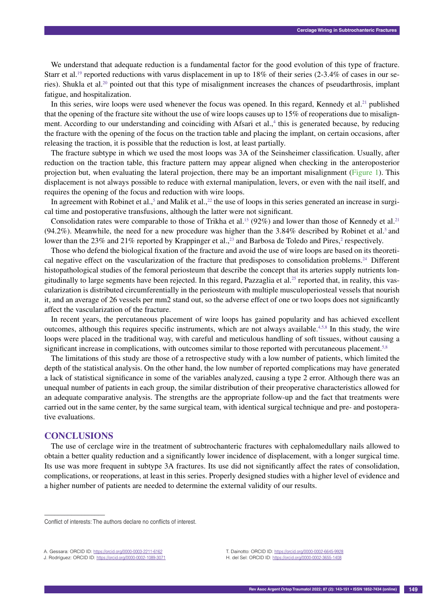We understand that adequate reduction is a fundamental factor for the good evolution of this type of fracture. Starr et al.<sup>19</sup> reported reductions with varus displacement in up to  $18\%$  of their series (2-3.4% of cases in our series). Shukla et al.20 pointed out that this type of misalignment increases the chances of pseudarthrosis, implant fatigue, and hospitalization.

In this series, wire loops were used whenever the focus was opened. In this regard, Kennedy et al.<sup>21</sup> published that the opening of the fracture site without the use of wire loops causes up to 15% of reoperations due to misalignment. According to our understanding and coinciding with Afsari et al.,<sup>4</sup> this is generated because, by reducing the fracture with the opening of the focus on the traction table and placing the implant, on certain occasions, after releasing the traction, it is possible that the reduction is lost, at least partially.

The fracture subtype in which we used the most loops was 3A of the Seinsheimer classification. Usually, after reduction on the traction table, this fracture pattern may appear aligned when checking in the anteroposterior projection but, when evaluating the lateral projection, there may be an important misalignment (Figure 1). This displacement is not always possible to reduce with external manipulation, levers, or even with the nail itself, and requires the opening of the focus and reduction with wire loops.

In agreement with Robinet et al.,<sup>5</sup> and Malik et al.,<sup>22</sup> the use of loops in this series generated an increase in surgical time and postoperative transfusions, although the latter were not significant.

Consolidation rates were comparable to those of Trikha et al.<sup>15</sup> (92%) and lower than those of Kennedy et al.<sup>21</sup> (94.2%). Meanwhile, the need for a new procedure was higher than the 3.84% described by Robinet et al.<sup>5</sup> and lower than the 23% and 21% reported by Krappinger et al.,<sup>23</sup> and Barbosa de Toledo and Pires,<sup>2</sup> respectively.

Those who defend the biological fixation of the fracture and avoid the use of wire loops are based on its theoretical negative effect on the vascularization of the fracture that predisposes to consolidation problems.<sup>24</sup> Different histopathological studies of the femoral periosteum that describe the concept that its arteries supply nutrients longitudinally to large segments have been rejected. In this regard, Pazzaglia et al.<sup>25</sup> reported that, in reality, this vascularization is distributed circumferentially in the periosteum with multiple musculoperiosteal vessels that nourish it, and an average of 26 vessels per mm2 stand out, so the adverse effect of one or two loops does not significantly affect the vascularization of the fracture.

In recent years, the percutaneous placement of wire loops has gained popularity and has achieved excellent outcomes, although this requires specific instruments, which are not always available.<sup>4,5,8</sup> In this study, the wire loops were placed in the traditional way, with careful and meticulous handling of soft tissues, without causing a significant increase in complications, with outcomes similar to those reported with percutaneous placement.<sup>5,8</sup>

The limitations of this study are those of a retrospective study with a low number of patients, which limited the depth of the statistical analysis. On the other hand, the low number of reported complications may have generated a lack of statistical significance in some of the variables analyzed, causing a type 2 error. Although there was an unequal number of patients in each group, the similar distribution of their preoperative characteristics allowed for an adequate comparative analysis. The strengths are the appropriate follow-up and the fact that treatments were carried out in the same center, by the same surgical team, with identical surgical technique and pre- and postoperative evaluations.

## **CONCLUSIONS**

––––––––––––––––––

The use of cerclage wire in the treatment of subtrochanteric fractures with cephalomedullary nails allowed to obtain a better quality reduction and a significantly lower incidence of displacement, with a longer surgical time. Its use was more frequent in subtype 3A fractures. Its use did not significantly affect the rates of consolidation, complications, or reoperations, at least in this series. Properly designed studies with a higher level of evidence and a higher number of patients are needed to determine the external validity of our results.

Conflict of interests: The authors declare no conflicts of interest.

A. Gessara: ORCID ID: https://orcid.org/0000-0003-2211-6162

J. Rodríguez: ORCID ID: https://orcid.org/0000-0002-1089-3071

T. Dainotto: ORCID ID: https://orcid.org/0000-0002-6645-9928 H. del Sel: ORCID ID: https://orcid.org/0000-0002-3655-1408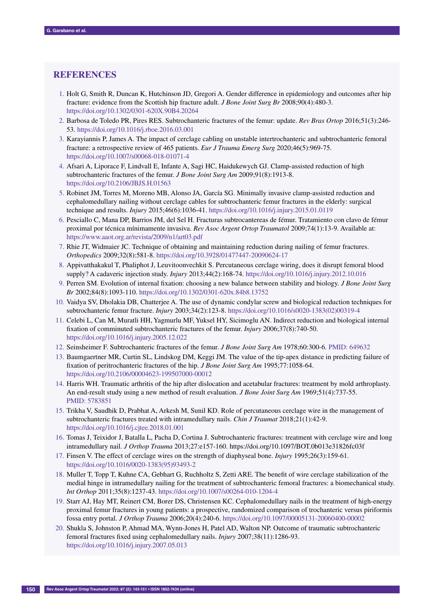# **REFERENCES**

- 1. Holt G, Smith R, Duncan K, Hutchinson JD, Gregori A. Gender difference in epidemiology and outcomes after hip fracture: evidence from the Scottish hip fracture adult. *J Bone Joint Surg Br* 2008;90(4):480-3. https://doi.org/10.1302/0301-620X.90B4.20264
- 2. Barbosa de Toledo PR, Pires RES. Subtrochanteric fractures of the femur: update. *Rev Bras Ortop* 2016;51(3):246- 53. https://doi.org/10.1016/j.rboe.2016.03.001
- 3. Karayiannis P, James A. The impact of cerclage cabling on unstable intertrochanteric and subtrochanteric femoral fracture: a retrospective review of 465 patients. *Eur J Trauma Emerg Surg* 2020;46(5):969-75. https://doi.org/10.1007/s00068-018-01071-4
- 4. Afsari A, Liporace F, Lindvall E, Infante A, Sagi HC, Haidukewych GJ. Clamp-assisted reduction of high subtrochanteric fractures of the femur. *J Bone Joint Surg Am* 2009;91(8):1913-8. https://doi.org/10.2106/JBJS.H.01563
- 5. Robinet JM, Torres M, Moreno MB, Alonso JA, García SG. Minimally invasive clamp-assisted reduction and cephalomedullary nailing without cerclage cables for subtrochanteric femur fractures in the elderly: surgical technique and results. *Injury* 2015;46(6):1036-41. https://doi.org/10.1016/j.injury.2015.01.0119
- 6. Pesciallo C, Mana DP, Barrios JM, del Sel H. Fracturas subtrocantereas de fémur. Tratamiento con clavo de fémur proximal por técnica mínimamente invasiva. *Rev Asoc Argent Ortop Traumatol* 2009;74(1):13-9. Available at: https://www.aaot.org.ar/revista/2009/n1/art03.pdf
- 7. Rhie JT, Widmaier JC. Technique of obtaining and maintaining reduction during nailing of femur fractures. *Orthopedics* 2009;32(8):581-8. https://doi.org/10.3928/01477447-20090624-17
- 8. Appivatthakakul T, Phaliphot J, Leuvitoonvechkit S. Percutaneous cerclage wiring, does it disrupt femoral blood supply? A cadaveric injection study. *Injury* 2013;44(2):168-74. https://doi.org/10.1016/j.injury.2012.10.016
- 9. Perren SM. Evolution of internal fixation: choosing a new balance between stability and biology. *J Bone Joint Surg Br* 2002;84(8):1093-110. https://doi.org/10.1302/0301-620x.84b8.13752
- 10. Vaidya SV, Dholakia DB, Chatterjee A. The use of dynamic condylar screw and biological reduction techniques for subtrochanteric femur fracture. *Injury* 2003;34(2):123-8. https://doi.org/10.1016/s0020-1383(02)00319-4
- 11. Celebi L, Can M, Muratli HH, Yagmurlu MF, Yuksel HY, Sicimoglu AN. Indirect reduction and biological internal fixation of comminuted subtrochanteric fractures of the femur. *Injury* 2006;37(8):740-50. https://doi.org/10.1016/j.injury.2005.12.022
- 12. Seinsheimer F. Subtrochanteric fractures of the femur. *J Bone Joint Surg Am* 1978;60:300-6. PMID: 649632
- 13. Baumgaertner MR, Curtin SL, Lindskog DM, Keggi JM. The value of the tip-apex distance in predicting failure of fixation of peritrochanteric fractures of the hip. *J Bone Joint Surg Am* 1995;77:1058-64. https://doi.org/10.2106/00004623-199507000-00012
- 14. Harris WH. Traumatic arthritis of the hip after dislocation and acetabular fractures: treatment by mold arthroplasty. An end-result study using a new method of result evaluation. *J Bone Joint Surg Am* 1969;51(4):737-55. PMID: 5783851
- 15. Trikha V, Saudhik D, Prabhat A, Arkesh M, Sunil KD. Role of percutaneous cerclage wire in the management of subtrochanteric fractures treated with intramedullary nails. *Chin J Traumat* 2018;21(1):42-9. https://doi.org/10.1016/j.cjtee.2018.01.001
- 16. Tomas J, Teixidor J, Batalla L, Pacha D, Cortina J. Subtrochanteric fractures: treatment with cerclage wire and long intramedullary nail. *J Orthop Trauma* 2013;27:e157-160. https://doi.org/10.1097/BOT.0b013e31826fc03f
- 17. Finsen V. The effect of cerclage wires on the strength of diaphyseal bone. *Injury* 1995;26(3):159-61. https://doi.org/10.1016/0020-1383(95)93493-2
- 18. Muller T, Topp T, Kuhne CA, Gebhart G, Ruchholtz S, Zetti ARE. The benefit of wire cerclage stabilization of the medial hinge in intramedullary nailing for the treatment of subtrochanteric femoral fractures: a biomechanical study. *Int Orthop* 2011;35(8):1237-43. https://doi.org/10.1007/s00264-010-1204-4
- 19. Starr AJ, Hay MT, Reinert CM, Borer DS, Christensen KC. Cephalomedullary nails in the treatment of high-energy proximal femur fractures in young patients: a prospective, randomized comparison of trochanteric versus piriformis fossa entry portal. *J Orthop Trauma* 2006;20(4):240-6. https://doi.org/10.1097/00005131-20060400-00002
- 20. Shukla S, Johnston P, Ahmad MA, Wynn-Jones H, Patel AD, Walton NP. Outcome of traumatic subtrochanteric femoral fractures fixed using cephalomedullary nails. *Injury* 2007;38(11):1286-93. https://doi.org/10.1016/j.injury.2007.05.013